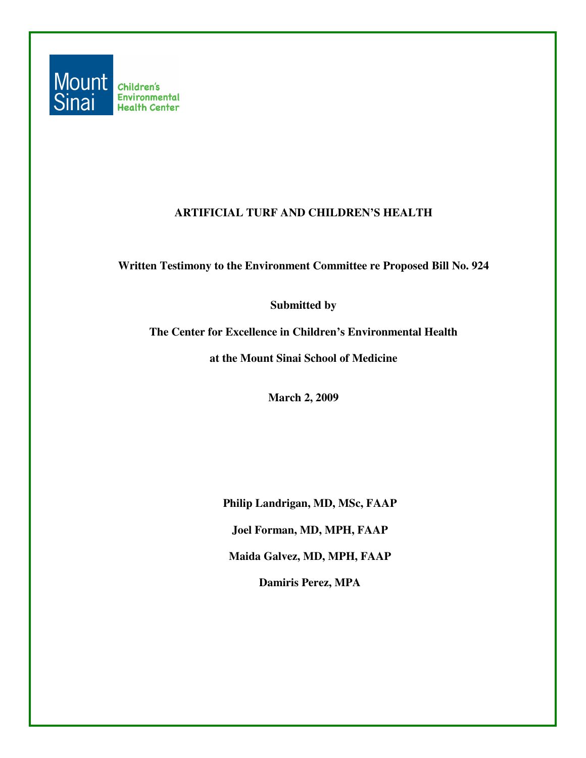

#### **ARTIFICIAL TURF AND CHILDREN'S HEALTH**

**Written Testimony to the Environment Committee re Proposed Bill No. 924** 

**Submitted by** 

**The Center for Excellence in Children's Environmental Health** 

**at the Mount Sinai School of Medicine** 

**March 2, 2009** 

**Philip Landrigan, MD, MSc, FAAP Joel Forman, MD, MPH, FAAP Maida Galvez, MD, MPH, FAAP Damiris Perez, MPA**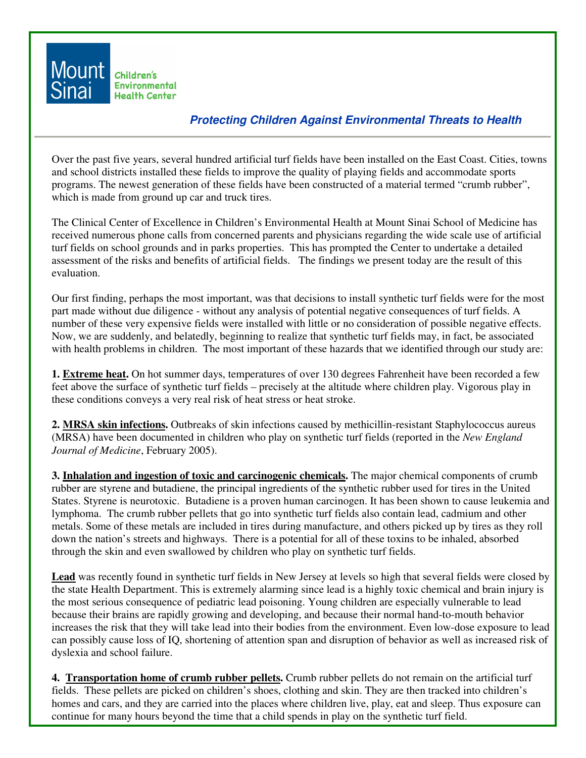

#### **Protecting Children Against Environmental Threats to Health**

Over the past five years, several hundred artificial turf fields have been installed on the East Coast. Cities, towns and school districts installed these fields to improve the quality of playing fields and accommodate sports programs. The newest generation of these fields have been constructed of a material termed "crumb rubber", which is made from ground up car and truck tires.

The Clinical Center of Excellence in Children's Environmental Health at Mount Sinai School of Medicine has received numerous phone calls from concerned parents and physicians regarding the wide scale use of artificial turf fields on school grounds and in parks properties. This has prompted the Center to undertake a detailed assessment of the risks and benefits of artificial fields. The findings we present today are the result of this evaluation.

Our first finding, perhaps the most important, was that decisions to install synthetic turf fields were for the most part made without due diligence - without any analysis of potential negative consequences of turf fields. A number of these very expensive fields were installed with little or no consideration of possible negative effects. Now, we are suddenly, and belatedly, beginning to realize that synthetic turf fields may, in fact, be associated with health problems in children. The most important of these hazards that we identified through our study are:

**1. Extreme heat.** On hot summer days, temperatures of over 130 degrees Fahrenheit have been recorded a few feet above the surface of synthetic turf fields – precisely at the altitude where children play. Vigorous play in these conditions conveys a very real risk of heat stress or heat stroke.

**2. MRSA skin infections.** Outbreaks of skin infections caused by methicillin-resistant Staphylococcus aureus (MRSA) have been documented in children who play on synthetic turf fields (reported in the *New England Journal of Medicine*, February 2005).

**3. Inhalation and ingestion of toxic and carcinogenic chemicals.** The major chemical components of crumb rubber are styrene and butadiene, the principal ingredients of the synthetic rubber used for tires in the United States. Styrene is neurotoxic. Butadiene is a proven human carcinogen. It has been shown to cause leukemia and lymphoma. The crumb rubber pellets that go into synthetic turf fields also contain lead, cadmium and other metals. Some of these metals are included in tires during manufacture, and others picked up by tires as they roll down the nation's streets and highways. There is a potential for all of these toxins to be inhaled, absorbed through the skin and even swallowed by children who play on synthetic turf fields.

**Lead** was recently found in synthetic turf fields in New Jersey at levels so high that several fields were closed by the state Health Department. This is extremely alarming since lead is a highly toxic chemical and brain injury is the most serious consequence of pediatric lead poisoning. Young children are especially vulnerable to lead because their brains are rapidly growing and developing, and because their normal hand-to-mouth behavior increases the risk that they will take lead into their bodies from the environment. Even low-dose exposure to lead can possibly cause loss of IQ, shortening of attention span and disruption of behavior as well as increased risk of dyslexia and school failure.

**4. Transportation home of crumb rubber pellets.** Crumb rubber pellets do not remain on the artificial turf fields. These pellets are picked on children's shoes, clothing and skin. They are then tracked into children's homes and cars, and they are carried into the places where children live, play, eat and sleep. Thus exposure can continue for many hours beyond the time that a child spends in play on the synthetic turf field.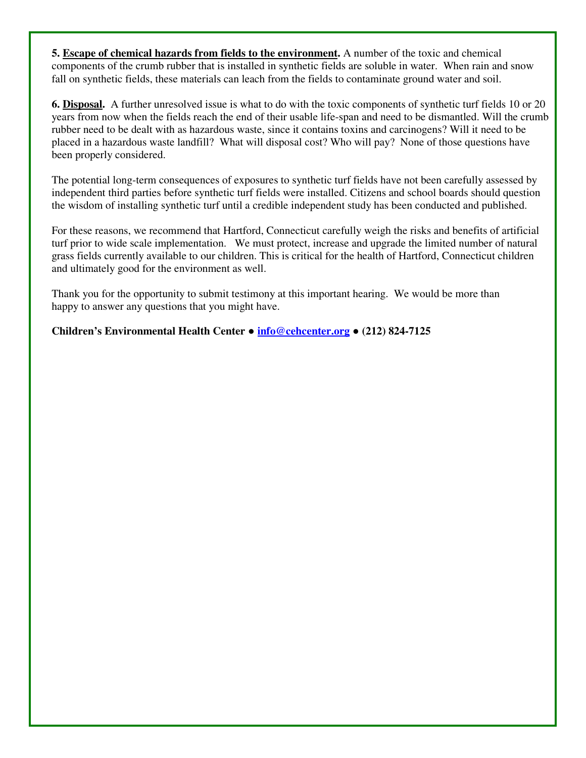**5. Escape of chemical hazards from fields to the environment.** A number of the toxic and chemical components of the crumb rubber that is installed in synthetic fields are soluble in water. When rain and snow fall on synthetic fields, these materials can leach from the fields to contaminate ground water and soil.

**6. Disposal.** A further unresolved issue is what to do with the toxic components of synthetic turf fields 10 or 20 years from now when the fields reach the end of their usable life-span and need to be dismantled. Will the crumb rubber need to be dealt with as hazardous waste, since it contains toxins and carcinogens? Will it need to be placed in a hazardous waste landfill? What will disposal cost? Who will pay? None of those questions have been properly considered.

The potential long-term consequences of exposures to synthetic turf fields have not been carefully assessed by independent third parties before synthetic turf fields were installed. Citizens and school boards should question the wisdom of installing synthetic turf until a credible independent study has been conducted and published.

For these reasons, we recommend that Hartford, Connecticut carefully weigh the risks and benefits of artificial turf prior to wide scale implementation. We must protect, increase and upgrade the limited number of natural grass fields currently available to our children. This is critical for the health of Hartford, Connecticut children and ultimately good for the environment as well.

Thank you for the opportunity to submit testimony at this important hearing. We would be more than happy to answer any questions that you might have.

**Children's Environmental Health Center** ● **info@cehcenter.org** ● **(212) 824-7125**